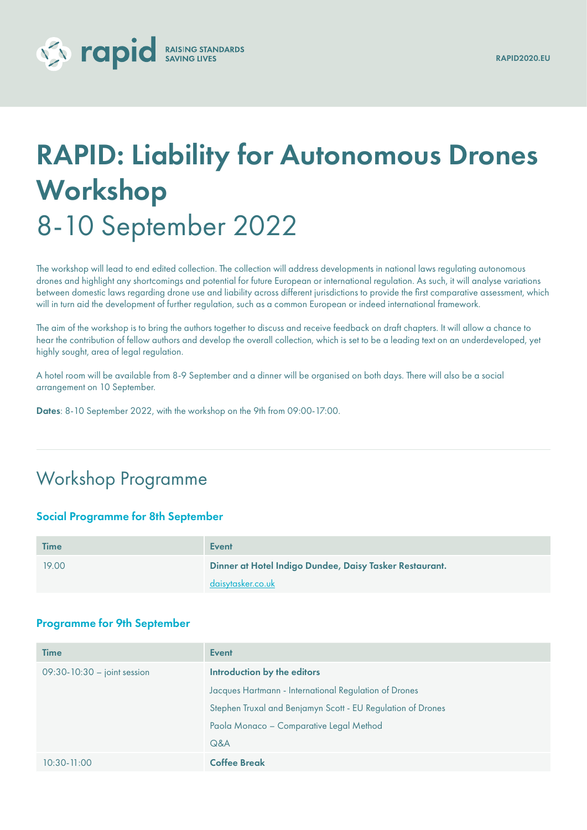# V Tapid RAISING STANDARDS

## RAPID: Liability for Autonomous Drones Workshop 8-10 September 2022

The workshop will lead to end edited collection. The collection will address developments in national laws regulating autonomous drones and highlight any shortcomings and potential for future European or international regulation. As such, it will analyse variations between domestic laws regarding drone use and liability across different jurisdictions to provide the first comparative assessment, which will in turn aid the development of further regulation, such as a common European or indeed international framework.

The aim of the workshop is to bring the authors together to discuss and receive feedback on draft chapters. It will allow a chance to hear the contribution of fellow authors and develop the overall collection, which is set to be a leading text on an underdeveloped, yet highly sought, area of legal regulation.

A hotel room will be available from 8-9 September and a dinner will be organised on both days. There will also be a social arrangement on 10 September.

Dates: 8-10 September 2022, with the workshop on the 9th from 09:00-17:00.

## Workshop Programme

## Social Programme for 8th September

| <b>Time</b> | <b>Event</b>                                            |
|-------------|---------------------------------------------------------|
| 19.00       | Dinner at Hotel Indigo Dundee, Daisy Tasker Restaurant. |
|             | daisytasker.co.uk                                       |

#### Programme for 9th September

| <b>Time</b>                     | Event                                                       |
|---------------------------------|-------------------------------------------------------------|
| $09:30 - 10:30 - joint session$ | Introduction by the editors                                 |
|                                 | Jacques Hartmann - International Regulation of Drones       |
|                                 | Stephen Truxal and Benjamyn Scott - EU Regulation of Drones |
|                                 | Paola Monaco - Comparative Legal Method                     |
|                                 | Q&A                                                         |
| $10:30 - 11:00$                 | <b>Coffee Break</b>                                         |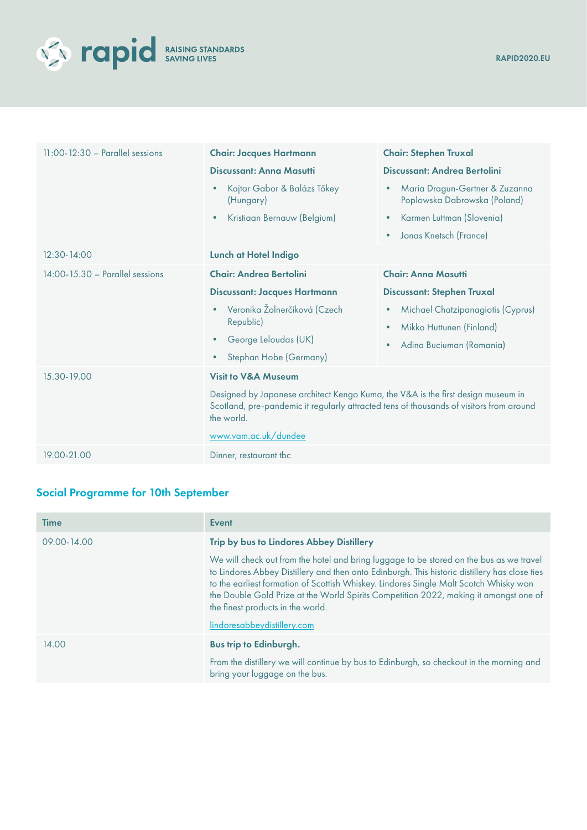

| $11:00 - 12:30$ - Parallel sessions | <b>Chair: Jacques Hartmann</b><br>Discussant: Anna Masutti<br>Kajtar Gabor & Balázs Tőkey<br>(Hungary)<br>Kristiaan Bernauw (Belgium)<br>$\bullet$                                                                                                  | <b>Chair: Stephen Truxal</b><br>Discussant: Andrea Bertolini<br>Maria Dragun-Gertner & Zuzanna<br>$\bullet$<br>Poplowska Dabrowska (Poland)<br>Karmen Luttman (Slovenia)<br>$\bullet$<br>Jonas Knetsch (France)<br>$\bullet$ |
|-------------------------------------|-----------------------------------------------------------------------------------------------------------------------------------------------------------------------------------------------------------------------------------------------------|------------------------------------------------------------------------------------------------------------------------------------------------------------------------------------------------------------------------------|
| $12:30 - 14:00$                     | Lunch at Hotel Indigo                                                                                                                                                                                                                               |                                                                                                                                                                                                                              |
| 14:00-15.30 - Parallel sessions     | <b>Chair: Andrea Bertolini</b><br><b>Discussant: Jacques Hartmann</b><br>Veronika Žolnerčíková (Czech<br>Republic)<br>George Leloudas (UK)<br>Stephan Hobe (Germany)<br>$\bullet$                                                                   | <b>Chair: Anna Masutti</b><br><b>Discussant: Stephen Truxal</b><br>Michael Chatzipanagiotis (Cyprus)<br>$\bullet$<br>Mikko Huttunen (Finland)<br>$\bullet$<br>Adina Buciuman (Romania)<br>$\bullet$                          |
| 15.30-19.00                         | <b>Visit to V&amp;A Museum</b><br>Designed by Japanese architect Kengo Kuma, the V&A is the first design museum in<br>Scotland, pre-pandemic it regularly attracted tens of thousands of visitors from around<br>the world.<br>www.vam.ac.uk/dundee |                                                                                                                                                                                                                              |
| 19.00-21.00                         | Dinner, restaurant tbc                                                                                                                                                                                                                              |                                                                                                                                                                                                                              |

## Social Programme for 10th September

| Time        | <b>Event</b>                                                                                                                                                                                                                                                                                                                                                                                                    |
|-------------|-----------------------------------------------------------------------------------------------------------------------------------------------------------------------------------------------------------------------------------------------------------------------------------------------------------------------------------------------------------------------------------------------------------------|
| 09.00-14.00 | Trip by bus to Lindores Abbey Distillery                                                                                                                                                                                                                                                                                                                                                                        |
|             | We will check out from the hotel and bring luggage to be stored on the bus as we travel<br>to Lindores Abbey Distillery and then onto Edinburgh. This historic distillery has close ties<br>to the earliest formation of Scottish Whiskey. Lindores Single Malt Scotch Whisky won<br>the Double Gold Prize at the World Spirits Competition 2022, making it amongst one of<br>the finest products in the world. |
|             | lindoresabbeydistillery.com                                                                                                                                                                                                                                                                                                                                                                                     |
| 14.00       | <b>Bus trip to Edinburgh.</b>                                                                                                                                                                                                                                                                                                                                                                                   |
|             | From the distillery we will continue by bus to Edinburgh, so checkout in the morning and<br>bring your luggage on the bus.                                                                                                                                                                                                                                                                                      |